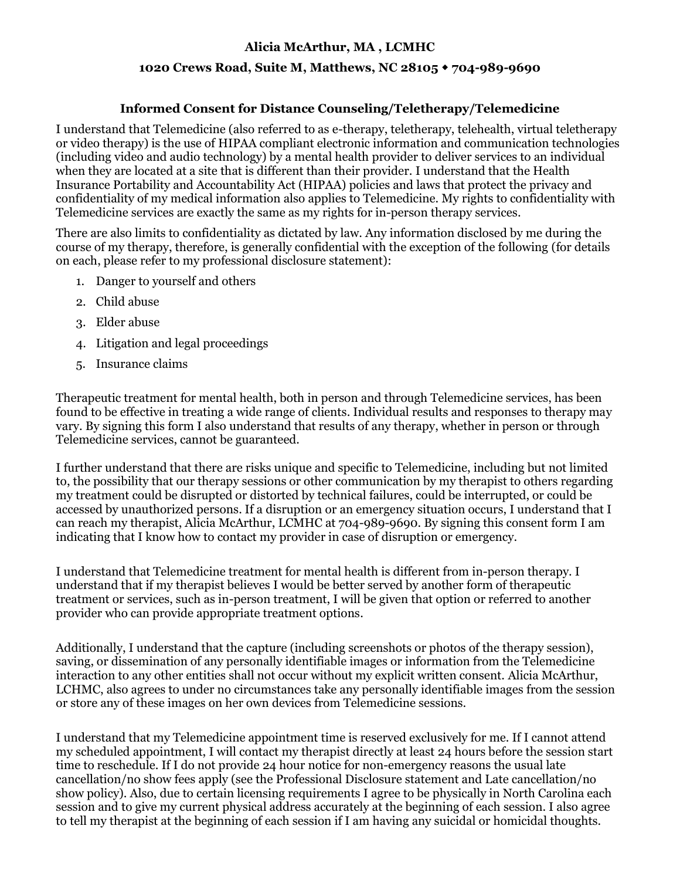## **Alicia McArthur, MA , LCMHC**

## **1020 Crews Road, Suite M, Matthews, NC 28105 704-989-9690**

## **Informed Consent for Distance Counseling/Teletherapy/Telemedicine**

I understand that Telemedicine (also referred to as e-therapy, teletherapy, telehealth, virtual teletherapy or video therapy) is the use of HIPAA compliant electronic information and communication technologies (including video and audio technology) by a mental health provider to deliver services to an individual when they are located at a site that is different than their provider. I understand that the Health Insurance Portability and Accountability Act (HIPAA) policies and laws that protect the privacy and confidentiality of my medical information also applies to Telemedicine. My rights to confidentiality with Telemedicine services are exactly the same as my rights for in-person therapy services.

There are also limits to confidentiality as dictated by law. Any information disclosed by me during the course of my therapy, therefore, is generally confidential with the exception of the following (for details on each, please refer to my professional disclosure statement):

- 1. Danger to yourself and others
- 2. Child abuse
- 3. Elder abuse
- 4. Litigation and legal proceedings
- 5. Insurance claims

Therapeutic treatment for mental health, both in person and through Telemedicine services, has been found to be effective in treating a wide range of clients. Individual results and responses to therapy may vary. By signing this form I also understand that results of any therapy, whether in person or through Telemedicine services, cannot be guaranteed.

I further understand that there are risks unique and specific to Telemedicine, including but not limited to, the possibility that our therapy sessions or other communication by my therapist to others regarding my treatment could be disrupted or distorted by technical failures, could be interrupted, or could be accessed by unauthorized persons. If a disruption or an emergency situation occurs, I understand that I can reach my therapist, Alicia McArthur, LCMHC at 704-989-9690. By signing this consent form I am indicating that I know how to contact my provider in case of disruption or emergency.

I understand that Telemedicine treatment for mental health is different from in-person therapy. I understand that if my therapist believes I would be better served by another form of therapeutic treatment or services, such as in-person treatment, I will be given that option or referred to another provider who can provide appropriate treatment options.

Additionally, I understand that the capture (including screenshots or photos of the therapy session), saving, or dissemination of any personally identifiable images or information from the Telemedicine interaction to any other entities shall not occur without my explicit written consent. Alicia McArthur, LCHMC, also agrees to under no circumstances take any personally identifiable images from the session or store any of these images on her own devices from Telemedicine sessions.

I understand that my Telemedicine appointment time is reserved exclusively for me. If I cannot attend my scheduled appointment, I will contact my therapist directly at least 24 hours before the session start time to reschedule. If I do not provide 24 hour notice for non-emergency reasons the usual late cancellation/no show fees apply (see the Professional Disclosure statement and Late cancellation/no show policy). Also, due to certain licensing requirements I agree to be physically in North Carolina each session and to give my current physical address accurately at the beginning of each session. I also agree to tell my therapist at the beginning of each session if I am having any suicidal or homicidal thoughts.